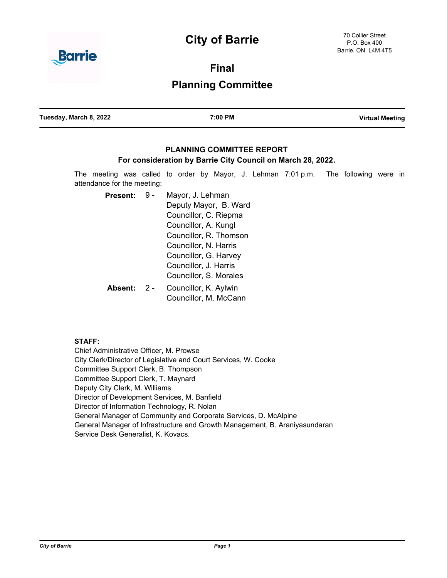# **City of Barrie**



**Final**

# **Planning Committee**

| Tuesday, March 8, 2022 | 7:00 PM | <b>Virtual Meeting</b> |
|------------------------|---------|------------------------|
|                        |         |                        |

# **PLANNING COMMITTEE REPORT**

# **For consideration by Barrie City Council on March 28, 2022.**

The meeting was called to order by Mayor, J. Lehman 7:01 p.m. The following were in attendance for the meeting:

Mayor, J. Lehman Deputy Mayor, B. Ward Councillor, C. Riepma Councillor, A. Kungl Councillor, R. Thomson Councillor, N. Harris Councillor, G. Harvey Councillor, J. Harris Councillor, S. Morales Present: 9 -Councillor, K. Aylwin Councillor, M. McCann **Absent:** 2 -

# **STAFF:**

Chief Administrative Officer, M. Prowse City Clerk/Director of Legislative and Court Services, W. Cooke Committee Support Clerk, B. Thompson Committee Support Clerk, T. Maynard Deputy City Clerk, M. Williams Director of Development Services, M. Banfield Director of Information Technology, R. Nolan General Manager of Community and Corporate Services, D. McAlpine General Manager of Infrastructure and Growth Management, B. Araniyasundaran Service Desk Generalist, K. Kovacs.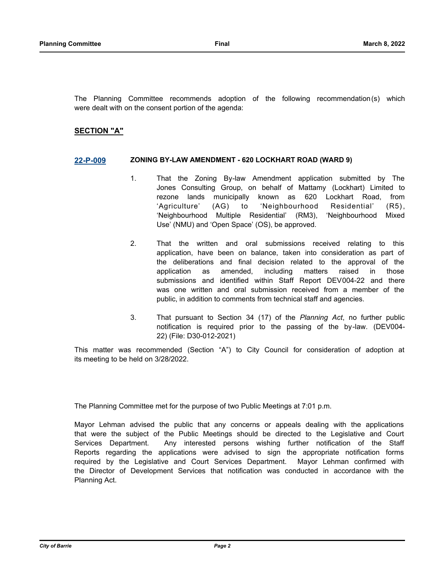The Planning Committee recommends adoption of the following recommendation(s) which were dealt with on the consent portion of the agenda:

### **SECTION "A"**

#### **[22-P-009](http://barrie.ca.legistar.com/gateway.aspx?m=l&id=/matter.aspx?key=50209) ZONING BY-LAW AMENDMENT - 620 LOCKHART ROAD (WARD 9)**

- 1. That the Zoning By-law Amendment application submitted by The Jones Consulting Group, on behalf of Mattamy (Lockhart) Limited to rezone lands municipally known as 620 Lockhart Road, from 'Agriculture' (AG) to 'Neighbourhood Residential' (R5), 'Neighbourhood Multiple Residential' (RM3), 'Neighbourhood Mixed Use' (NMU) and 'Open Space' (OS), be approved.
- 2. That the written and oral submissions received relating to this application, have been on balance, taken into consideration as part of the deliberations and final decision related to the approval of the application as amended, including matters raised in those submissions and identified within Staff Report DEV004-22 and there was one written and oral submission received from a member of the public, in addition to comments from technical staff and agencies.
- 3. That pursuant to Section 34 (17) of the *Planning Act*, no further public notification is required prior to the passing of the by-law. (DEV004- 22) (File: D30-012-2021)

This matter was recommended (Section "A") to City Council for consideration of adoption at its meeting to be held on 3/28/2022.

The Planning Committee met for the purpose of two Public Meetings at 7:01 p.m.

Mayor Lehman advised the public that any concerns or appeals dealing with the applications that were the subject of the Public Meetings should be directed to the Legislative and Court Services Department. Any interested persons wishing further notification of the Staff Reports regarding the applications were advised to sign the appropriate notification forms required by the Legislative and Court Services Department. Mayor Lehman confirmed with the Director of Development Services that notification was conducted in accordance with the Planning Act.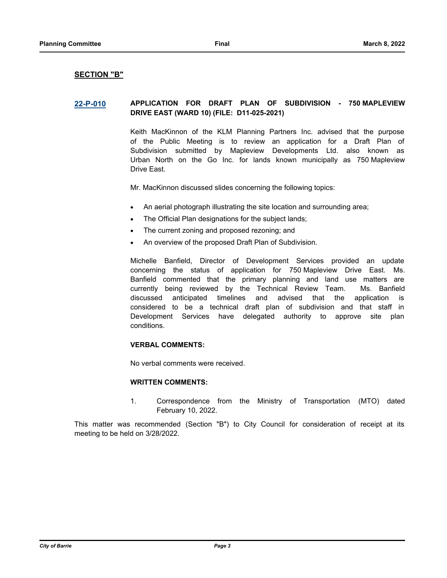#### **SECTION "B"**

### **[22-P-010](http://barrie.ca.legistar.com/gateway.aspx?m=l&id=/matter.aspx?key=50195) APPLICATION FOR DRAFT PLAN OF SUBDIVISION - 750 MAPLEVIEW DRIVE EAST (WARD 10) (FILE: D11-025-2021)**

Keith MacKinnon of the KLM Planning Partners Inc. advised that the purpose of the Public Meeting is to review an application for a Draft Plan of Subdivision submitted by Mapleview Developments Ltd. also known as Urban North on the Go Inc. for lands known municipally as 750 Mapleview Drive East.

Mr. MacKinnon discussed slides concerning the following topics:

- · An aerial photograph illustrating the site location and surrounding area;
- · The Official Plan designations for the subject lands;
- The current zoning and proposed rezoning; and
- An overview of the proposed Draft Plan of Subdivision.

Michelle Banfield, Director of Development Services provided an update concerning the status of application for 750 Mapleview Drive East. Ms. Banfield commented that the primary planning and land use matters are currently being reviewed by the Technical Review Team. Ms. Banfield discussed anticipated timelines and advised that the application is considered to be a technical draft plan of subdivision and that staff in Development Services have delegated authority to approve site plan conditions.

#### **VERBAL COMMENTS:**

No verbal comments were received.

#### **WRITTEN COMMENTS:**

1. Correspondence from the Ministry of Transportation (MTO) dated February 10, 2022.

This matter was recommended (Section "B") to City Council for consideration of receipt at its meeting to be held on 3/28/2022.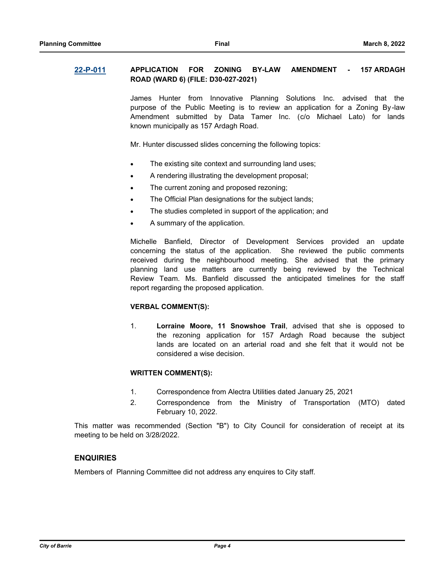# **[22-P-011](http://barrie.ca.legistar.com/gateway.aspx?m=l&id=/matter.aspx?key=50197) APPLICATION FOR ZONING BY-LAW AMENDMENT - 157 ARDAGH ROAD (WARD 6) (FILE: D30-027-2021)**

James Hunter from Innovative Planning Solutions Inc. advised that the purpose of the Public Meeting is to review an application for a Zoning By-law Amendment submitted by Data Tamer Inc. (c/o Michael Lato) for lands known municipally as 157 Ardagh Road.

Mr. Hunter discussed slides concerning the following topics:

- The existing site context and surrounding land uses;
- · A rendering illustrating the development proposal;
- The current zoning and proposed rezoning;
- The Official Plan designations for the subject lands;
- The studies completed in support of the application; and
- A summary of the application.

Michelle Banfield, Director of Development Services provided an update concerning the status of the application. She reviewed the public comments received during the neighbourhood meeting. She advised that the primary planning land use matters are currently being reviewed by the Technical Review Team. Ms. Banfield discussed the anticipated timelines for the staff report regarding the proposed application.

#### **VERBAL COMMENT(S):**

1. **Lorraine Moore, 11 Snowshoe Trail**, advised that she is opposed to the rezoning application for 157 Ardagh Road because the subject lands are located on an arterial road and she felt that it would not be considered a wise decision.

#### **WRITTEN COMMENT(S):**

- 1. Correspondence from Alectra Utilities dated January 25, 2021
- 2. Correspondence from the Ministry of Transportation (MTO) dated February 10, 2022.

This matter was recommended (Section "B") to City Council for consideration of receipt at its meeting to be held on 3/28/2022.

# **ENQUIRIES**

Members of Planning Committee did not address any enquires to City staff.